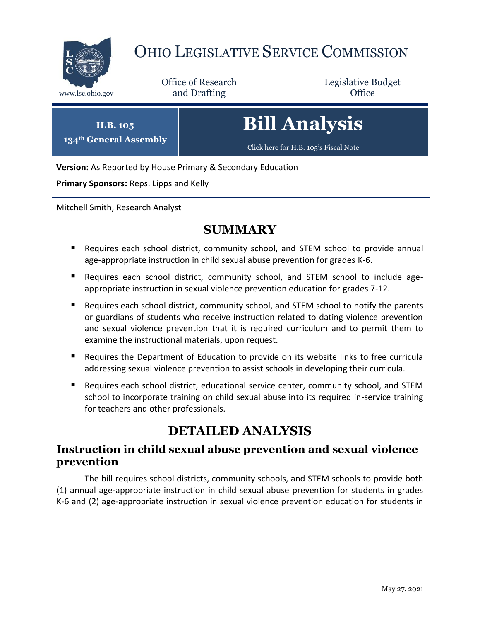

## OHIO LEGISLATIVE SERVICE COMMISSION

Office of Research www.lsc.ohio.gov **and Drafting Office** 

Legislative Budget

**H.B. 105 134th General Assembly**

# **Bill Analysis**

[Click here for H.B. 105](https://www.legislature.ohio.gov/legislation/legislation-documents?id=GA134-HB-105)'s Fiscal Note

**Version:** As Reported by House Primary & Secondary Education

**Primary Sponsors:** Reps. Lipps and Kelly

Mitchell Smith, Research Analyst

### **SUMMARY**

- Requires each school district, community school, and STEM school to provide annual age-appropriate instruction in child sexual abuse prevention for grades K-6.
- Requires each school district, community school, and STEM school to include ageappropriate instruction in sexual violence prevention education for grades 7-12.
- **Requires each school district, community school, and STEM school to notify the parents** or guardians of students who receive instruction related to dating violence prevention and sexual violence prevention that it is required curriculum and to permit them to examine the instructional materials, upon request.
- Requires the Department of Education to provide on its website links to free curricula addressing sexual violence prevention to assist schools in developing their curricula.
- Requires each school district, educational service center, community school, and STEM school to incorporate training on child sexual abuse into its required in-service training for teachers and other professionals.

### **DETAILED ANALYSIS**

#### **Instruction in child sexual abuse prevention and sexual violence prevention**

The bill requires school districts, community schools, and STEM schools to provide both (1) annual age-appropriate instruction in child sexual abuse prevention for students in grades K-6 and (2) age-appropriate instruction in sexual violence prevention education for students in